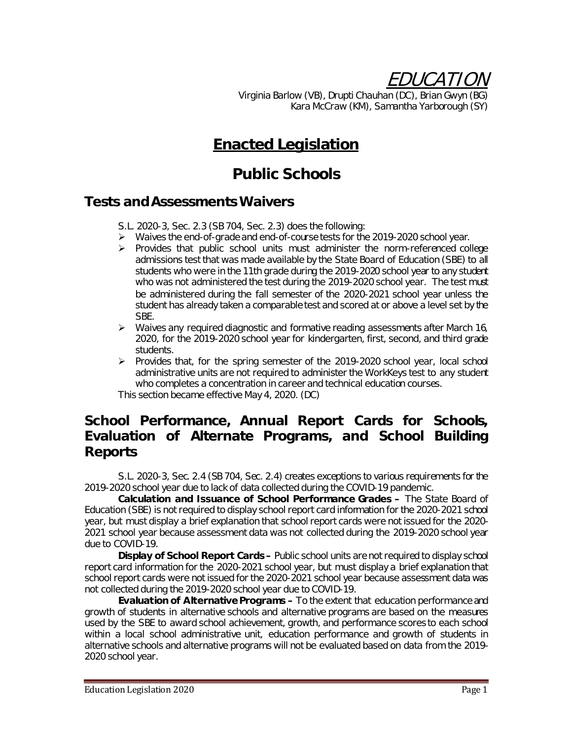EDUCATION

Virginia Barlow (VB), Drupti Chauhan (DC), Brian Gwyn (BG) Kara McCraw (KM), Samantha Yarborough (SY)

# **Enacted Legislation**

# **Public Schools**

### **Tests and Assessments Waivers**

S.L. 2020-3, Sec. 2.3 (SB 704, Sec. 2.3) does the following:

- Waives the end-of-grade and end-of-course tests for the 2019-2020 school year.
- $\triangleright$  Provides that public school units must administer the norm-referenced college admissions test that was made available by the State Board of Education (SBE) to all students who were in the 11th grade during the 2019-2020 school year to any student who was not administered the test during the 2019-2020 school year. The test must be administered during the fall semester of the 2020-2021 school year unless the student has already taken a comparable test and scored at or above a level set by the SBE.
- $\triangleright$  Waives any required diagnostic and formative reading assessments after March 16, 2020, for the 2019-2020 school year for kindergarten, first, second, and third grade students.
- $\triangleright$  Provides that, for the spring semester of the 2019-2020 school year, local school administrative units are not required to administer the WorkKeys test to any student who completes a concentration in career and technical education courses.

This section became effective May 4, 2020. (DC)

# **School Performance, Annual Report Cards for Schools, Evaluation of Alternate Programs, and School Building Reports**

S.L. 2020-3, Sec. 2.4 (SB 704, Sec. 2.4) creates exceptions to various requirements for the 2019-2020 school year due to lack of data collected during the COVID-19 pandemic.

**Calculation and Issuance of School Performance Grades –** The State Board of Education (SBE) is not required to display school report card information for the 2020-2021 school year, but must display a brief explanation that school report cards were not issued for the 2020- 2021 school year because assessment data was not collected during the 2019-2020 school year due to COVID-19.

**Display of School Report Cards –** Public school units are not required to display school report card information for the 2020-2021 school year, but must display a brief explanation that school report cards were not issued for the 2020-2021 school year because assessment data was not collected during the 2019-2020 school year due to COVID-19.

**Evaluation of Alternative Programs –** To the extent that education performance and growth of students in alternative schools and alternative programs are based on the measures used by the SBE to award school achievement, growth, and performance scores to each school within a local school administrative unit, education performance and growth of students in alternative schools and alternative programs will not be evaluated based on data from the 2019- 2020 school year.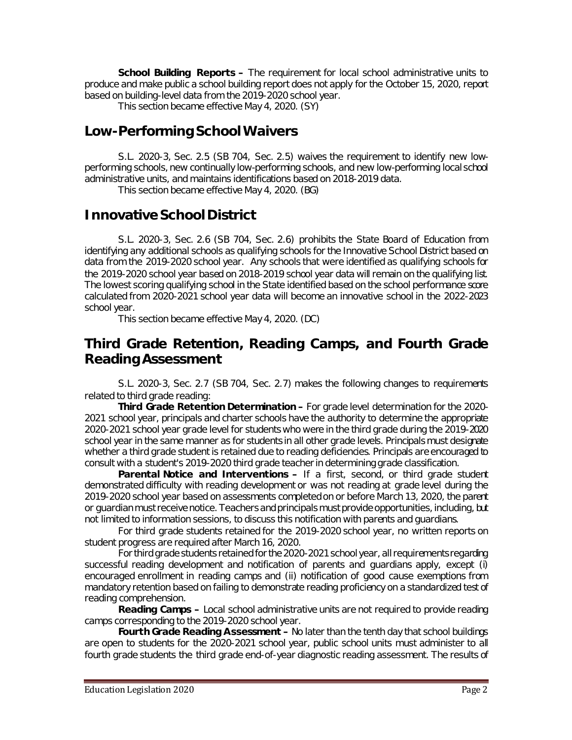**School Building Reports –** The requirement for local school administrative units to produce and make public a school building report does not apply for the October 15, 2020, report based on building-level data from the 2019-2020 school year.

This section became effective May 4, 2020. (SY)

### **Low-Performing School Waivers**

S.L. 2020-3, Sec. 2.5 (SB 704, Sec. 2.5) waives the requirement to identify new lowperforming schools, new continually low-performing schools, and new low-performing local school administrative units, and maintains identifications based on 2018-2019 data.

This section became effective May 4, 2020. (BG)

# **Innovative School District**

S.L. 2020-3, Sec. 2.6 (SB 704, Sec. 2.6) prohibits the State Board of Education from identifying any additional schools as qualifying schools for the Innovative School District based on data from the 2019-2020 school year. Any schools that were identified as qualifying schools for the 2019-2020 school year based on 2018-2019 school year data will remain on the qualifying list. The lowest scoring qualifying school in the State identified based on the school performance score calculated from 2020-2021 school year data will become an innovative school in the 2022-2023 school year.

This section became effective May 4, 2020. (DC)

#### **Third Grade Retention, Reading Camps, and Fourth Grade Reading Assessment**

S.L. 2020-3, Sec. 2.7 (SB 704, Sec. 2.7) makes the following changes to requirements related to third grade reading:

**Third Grade Retention Determination –** For grade level determination for the 2020- 2021 school year, principals and charter schools have the authority to determine the appropriate 2020-2021 school year grade level for students who were in the third grade during the 2019-2020 school year in the same manner as for students in all other grade levels. Principals must designate whether a third grade student is retained due to reading deficiencies. Principals are encouraged to consult with a student's 2019-2020 third grade teacher in determining grade classification.

**Parental Notice and Interventions –** If a first, second, or third grade student demonstrated difficulty with reading development or was not reading at grade level during the 2019-2020 school year based on assessments completed on or before March 13, 2020, the parent or guardian must receive notice. Teachers and principals must provide opportunities, including, but not limited to information sessions, to discuss this notification with parents and guardians.

For third grade students retained for the 2019-2020 school year, no written reports on student progress are required after March 16, 2020.

For third grade students retained for the 2020-2021 school year, all requirements regarding successful reading development and notification of parents and guardians apply, except (i) encouraged enrollment in reading camps and (ii) notification of good cause exemptions from mandatory retention based on failing to demonstrate reading proficiency on a standardized test of reading comprehension.

**Reading Camps –** Local school administrative units are not required to provide reading camps corresponding to the 2019-2020 school year.

**Fourth Grade Reading Assessment –** No later than the tenth day that school buildings are open to students for the 2020-2021 school year, public school units must administer to all fourth grade students the third grade end-of-year diagnostic reading assessment. The results of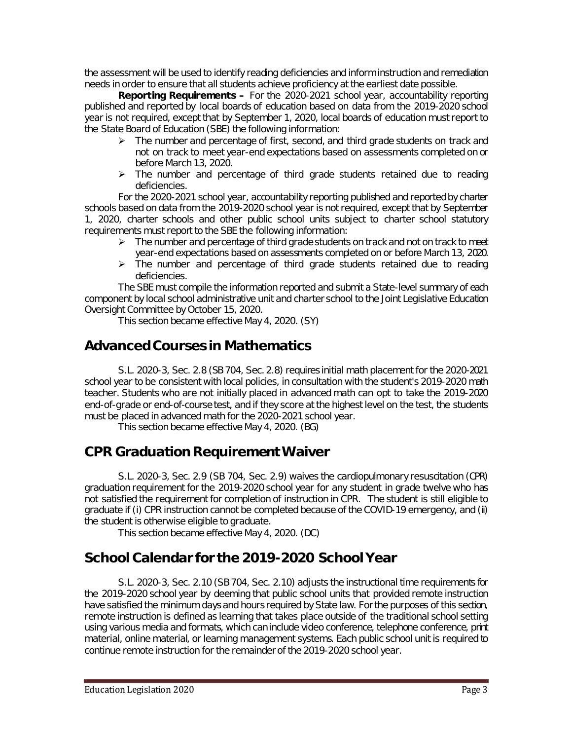the assessment will be used to identify reading deficiencies and inform instruction and remediation needs in order to ensure that all students achieve proficiency at the earliest date possible.

**Reporting Requirements –** For the 2020-2021 school year, accountability reporting published and reported by local boards of education based on data from the 2019-2020 school year is not required, except that by September 1, 2020, local boards of education must report to the State Board of Education (SBE) the following information:

- $\triangleright$  The number and percentage of first, second, and third grade students on track and not on track to meet year-end expectations based on assessments completed on or before March 13, 2020.
- $\triangleright$  The number and percentage of third grade students retained due to reading deficiencies.

For the 2020-2021 school year, accountability reporting published and reported by charter schools based on data from the 2019-2020 school year is not required, except that by September 1, 2020, charter schools and other public school units subject to charter school statutory requirements must report to the SBE the following information:

- $\triangleright$  The number and percentage of third grade students on track and not on track to meet year-end expectations based on assessments completed on or before March 13, 2020.
- $\triangleright$  The number and percentage of third grade students retained due to reading deficiencies.

The SBE must compile the information reported and submit a State-level summary of each component by local school administrative unit and charter school to the Joint Legislative Education Oversight Committee by October 15, 2020.

This section became effective May 4, 2020. (SY)

# **Advanced Courses in Mathematics**

S.L. 2020-3, Sec. 2.8 (SB 704, Sec. 2.8) requires initial math placement for the 2020-2021 school year to be consistent with local policies, in consultation with the student's 2019-2020 math teacher. Students who are not initially placed in advanced math can opt to take the 2019-2020 end-of-grade or end-of-course test, and if they score at the highest level on the test, the students must be placed in advanced math for the 2020-2021 school year.

This section became effective May 4, 2020. (BG)

#### **CPR Graduation Requirement Waiver**

S.L. 2020-3, Sec. 2.9 (SB 704, Sec. 2.9) waives the cardiopulmonary resuscitation (CPR) graduation requirement for the 2019-2020 school year for any student in grade twelve who has not satisfied the requirement for completion of instruction in CPR. The student is still eligible to graduate if (i) CPR instruction cannot be completed because of the COVID-19 emergency, and (ii) the student is otherwise eligible to graduate.

This section became effective May 4, 2020. (DC)

# **School Calendar for the 2019-2020 School Year**

S.L. 2020-3, Sec. 2.10 (SB 704, Sec. 2.10) adjusts the instructional time requirements for the 2019-2020 school year by deeming that public school units that provided remote instruction have satisfied the minimum days and hours required by State law. For the purposes of this section, remote instruction is defined as learning that takes place outside of the traditional school setting using various media and formats, which can include video conference, telephone conference, print material, online material, or learning management systems. Each public school unit is required to continue remote instruction for the remainder of the 2019-2020 school year.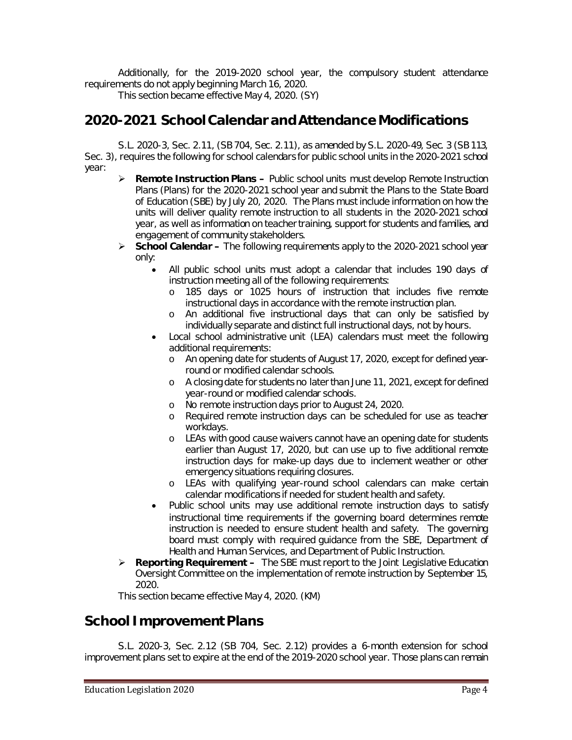Additionally, for the 2019-2020 school year, the compulsory student attendance requirements do not apply beginning March 16, 2020.

This section became effective May 4, 2020. (SY)

### **2020-2021 School Calendar and Attendance Modifications**

S.L. 2020-3, Sec. 2.11, (SB 704, Sec. 2.11), as amended by S.L. 2020-49, Sec. 3 (SB 113, Sec. 3), requires the following for school calendars for public school units in the 2020-2021 school year:

- **Remote Instruction Plans –** Public school units must develop Remote Instruction Plans (Plans) for the 2020-2021 school year and submit the Plans to the State Board of Education (SBE) by July 20, 2020. The Plans must include information on how the units will deliver quality remote instruction to all students in the 2020-2021 school year, as well as information on teacher training, support for students and families, and engagement of community stakeholders.
- **School Calendar –** The following requirements apply to the 2020-2021 school year only:
	- All public school units must adopt a calendar that includes 190 days of instruction meeting all of the following requirements:
		- o 185 days or 1025 hours of instruction that includes five remote instructional days in accordance with the remote instruction plan.
		- o An additional five instructional days that can only be satisfied by individually separate and distinct full instructional days, not by hours.
	- Local school administrative unit (LEA) calendars must meet the following additional requirements:
		- o An opening date for students of August 17, 2020, except for defined yearround or modified calendar schools.
		- o A closing date for students no later than June 11, 2021, except for defined year-round or modified calendar schools.
		- o No remote instruction days prior to August 24, 2020.
		- o Required remote instruction days can be scheduled for use as teacher workdays.
		- o LEAs with good cause waivers cannot have an opening date for students earlier than August 17, 2020, but can use up to five additional remote instruction days for make-up days due to inclement weather or other emergency situations requiring closures.
		- o LEAs with qualifying year-round school calendars can make certain calendar modifications if needed for student health and safety.
	- Public school units may use additional remote instruction days to satisfy instructional time requirements if the governing board determines remote instruction is needed to ensure student health and safety. The governing board must comply with required guidance from the SBE, Department of Health and Human Services, and Department of Public Instruction.
- **Reporting Requirement –** The SBE must report to the Joint Legislative Education Oversight Committee on the implementation of remote instruction by September 15, 2020.

This section became effective May 4, 2020. (KM)

#### **School Improvement Plans**

S.L. 2020-3, Sec. 2.12 (SB 704, Sec. 2.12) provides a 6-month extension for school improvement plans set to expire at the end of the 2019-2020 school year. Those plans can remain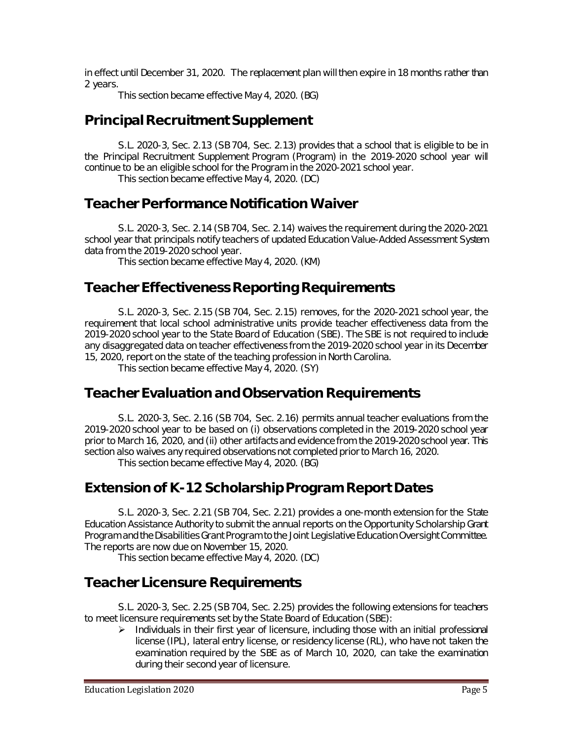in effect until December 31, 2020. The replacement plan will then expire in 18 months rather than 2 years.

This section became effective May 4, 2020. (BG)

# **Principal Recruitment Supplement**

S.L. 2020-3, Sec. 2.13 (SB 704, Sec. 2.13) provides that a school that is eligible to be in the Principal Recruitment Supplement Program (Program) in the 2019-2020 school year will continue to be an eligible school for the Program in the 2020-2021 school year.

This section became effective May 4, 2020. (DC)

# **Teacher Performance Notification Waiver**

S.L. 2020-3, Sec. 2.14 (SB 704, Sec. 2.14) waives the requirement during the 2020-2021 school year that principals notify teachers of updated Education Value-Added Assessment System data from the 2019-2020 school year.

This section became effective May 4, 2020. (KM)

# **Teacher Effectiveness Reporting Requirements**

S.L. 2020-3, Sec. 2.15 (SB 704, Sec. 2.15) removes, for the 2020-2021 school year, the requirement that local school administrative units provide teacher effectiveness data from the 2019-2020 school year to the State Board of Education (SBE). The SBE is not required to include any disaggregated data on teacher effectiveness from the 2019-2020 school year in its December 15, 2020, report on the state of the teaching profession in North Carolina.

This section became effective May 4, 2020. (SY)

# **Teacher Evaluation and Observation Requirements**

S.L. 2020-3, Sec. 2.16 (SB 704, Sec. 2.16) permits annual teacher evaluations from the 2019-2020 school year to be based on (i) observations completed in the 2019-2020 school year prior to March 16, 2020, and (ii) other artifacts and evidence from the 2019-2020 school year. This section also waives any required observations not completed prior to March 16, 2020.

This section became effective May 4, 2020. (BG)

# **Extension of K-12 Scholarship Program Report Dates**

S.L. 2020-3, Sec. 2.21 (SB 704, Sec. 2.21) provides a one-month extension for the State Education Assistance Authority to submit the annual reports on the Opportunity Scholarship Grant Program and the Disabilities Grant Program to the Joint Legislative Education Oversight Committee. The reports are now due on November 15, 2020.

This section became effective May 4, 2020. (DC)

# **Teacher Licensure Requirements**

S.L. 2020-3, Sec. 2.25 (SB 704, Sec. 2.25) provides the following extensions for teachers to meet licensure requirements set by the State Board of Education (SBE):

 $\triangleright$  Individuals in their first year of licensure, including those with an initial professional license (IPL), lateral entry license, or residency license (RL), who have not taken the examination required by the SBE as of March 10, 2020, can take the examination during their second year of licensure.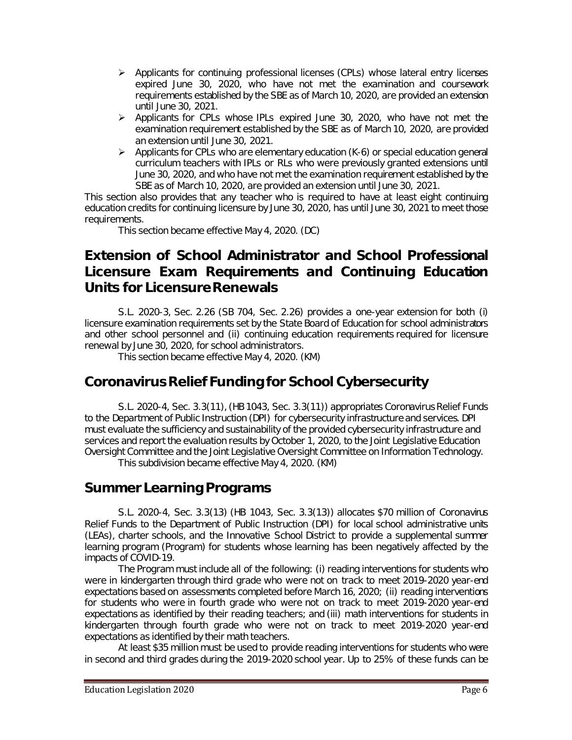- $\triangleright$  Applicants for continuing professional licenses (CPLs) whose lateral entry licenses expired June 30, 2020, who have not met the examination and coursework requirements established by the SBE as of March 10, 2020, are provided an extension until June 30, 2021.
- $\triangleright$  Applicants for CPLs whose IPLs expired June 30, 2020, who have not met the examination requirement established by the SBE as of March 10, 2020, are provided an extension until June 30, 2021.
- $\triangleright$  Applicants for CPLs who are elementary education (K-6) or special education general curriculum teachers with IPLs or RLs who were previously granted extensions until June 30, 2020, and who have not met the examination requirement established by the SBE as of March 10, 2020, are provided an extension until June 30, 2021.

This section also provides that any teacher who is required to have at least eight continuing education credits for continuing licensure by June 30, 2020, has until June 30, 2021 to meet those requirements.

This section became effective May 4, 2020. (DC)

# **Extension of School Administrator and School Professional Licensure Exam Requirements and Continuing Education Units for Licensure Renewals**

S.L. 2020-3, Sec. 2.26 (SB 704, Sec. 2.26) provides a one-year extension for both (i) licensure examination requirements set by the State Board of Education for school administrators and other school personnel and (ii) continuing education requirements required for licensure renewal by June 30, 2020, for school administrators.

This section became effective May 4, 2020. (KM)

# **Coronavirus Relief Funding for School Cybersecurity**

S.L. 2020-4, Sec. 3.3(11), (HB 1043, Sec. 3.3(11)) appropriates Coronavirus Relief Funds to the Department of Public Instruction (DPI) for cybersecurity infrastructure and services. DPI must evaluate the sufficiency and sustainability of the provided cybersecurity infrastructure and services and report the evaluation results by October 1, 2020, to the Joint Legislative Education Oversight Committee and the Joint Legislative Oversight Committee on Information Technology. This subdivision became effective May 4, 2020. (KM)

#### **Summer Learning Programs**

S.L. 2020-4, Sec. 3.3(13) (HB 1043, Sec. 3.3(13)) allocates \$70 million of Coronavirus Relief Funds to the Department of Public Instruction (DPI) for local school administrative units (LEAs), charter schools, and the Innovative School District to provide a supplemental summer learning program (Program) for students whose learning has been negatively affected by the impacts of COVID-19.

The Program must include all of the following: (i) reading interventions for students who were in kindergarten through third grade who were not on track to meet 2019-2020 year-end expectations based on assessments completed before March 16, 2020; (ii) reading interventions for students who were in fourth grade who were not on track to meet 2019-2020 year-end expectations as identified by their reading teachers; and (iii) math interventions for students in kindergarten through fourth grade who were not on track to meet 2019-2020 year-end expectations as identified by their math teachers.

At least \$35 million must be used to provide reading interventions for students who were in second and third grades during the 2019-2020 school year. Up to 25% of these funds can be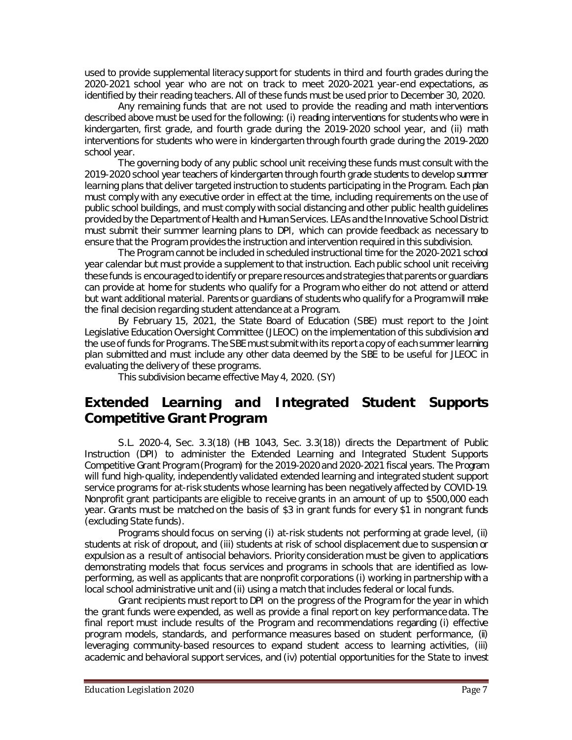used to provide supplemental literacy support for students in third and fourth grades during the 2020-2021 school year who are not on track to meet 2020-2021 year-end expectations, as identified by their reading teachers. All of these funds must be used prior to December 30, 2020.

Any remaining funds that are not used to provide the reading and math interventions described above must be used for the following: (i) reading interventions for students who were in kindergarten, first grade, and fourth grade during the 2019-2020 school year, and (ii) math interventions for students who were in kindergarten through fourth grade during the 2019-2020 school year.

The governing body of any public school unit receiving these funds must consult with the 2019-2020 school year teachers of kindergarten through fourth grade students to develop summer learning plans that deliver targeted instruction to students participating in the Program. Each plan must comply with any executive order in effect at the time, including requirements on the use of public school buildings, and must comply with social distancing and other public health guidelines provided by the Department of Health and Human Services. LEAs and the Innovative School District must submit their summer learning plans to DPI, which can provide feedback as necessary to ensure that the Program provides the instruction and intervention required in this subdivision.

The Program cannot be included in scheduled instructional time for the 2020-2021 school year calendar but must provide a supplement to that instruction. Each public school unit receiving these funds is encouraged to identify or prepare resources and strategies that parents or guardians can provide at home for students who qualify for a Program who either do not attend or attend but want additional material. Parents or guardians of students who qualify for a Program will make the final decision regarding student attendance at a Program.

By February 15, 2021, the State Board of Education (SBE) must report to the Joint Legislative Education Oversight Committee (JLEOC) on the implementation of this subdivision and the use of funds for Programs. The SBE must submit with its report a copy of each summer learning plan submitted and must include any other data deemed by the SBE to be useful for JLEOC in evaluating the delivery of these programs.

This subdivision became effective May 4, 2020. (SY)

# **Extended Learning and Integrated Student Supports Competitive Grant Program**

S.L. 2020-4, Sec. 3.3(18) (HB 1043, Sec. 3.3(18)) directs the Department of Public Instruction (DPI) to administer the Extended Learning and Integrated Student Supports Competitive Grant Program (Program) for the 2019-2020 and 2020-2021 fiscal years. The Program will fund high-quality, independently validated extended learning and integrated student support service programs for at-risk students whose learning has been negatively affected by COVID-19. Nonprofit grant participants are eligible to receive grants in an amount of up to \$500,000 each year. Grants must be matched on the basis of \$3 in grant funds for every \$1 in nongrant funds (excluding State funds).

Programs should focus on serving (i) at-risk students not performing at grade level, (ii) students at risk of dropout, and (iii) students at risk of school displacement due to suspension or expulsion as a result of antisocial behaviors. Priority consideration must be given to applications demonstrating models that focus services and programs in schools that are identified as lowperforming, as well as applicants that are nonprofit corporations (i) working in partnership with a local school administrative unit and (ii) using a match that includes federal or local funds.

Grant recipients must report to DPI on the progress of the Program for the year in which the grant funds were expended, as well as provide a final report on key performance data. The final report must include results of the Program and recommendations regarding (i) effective program models, standards, and performance measures based on student performance, (ii) leveraging community-based resources to expand student access to learning activities, (iii) academic and behavioral support services, and (iv) potential opportunities for the State to invest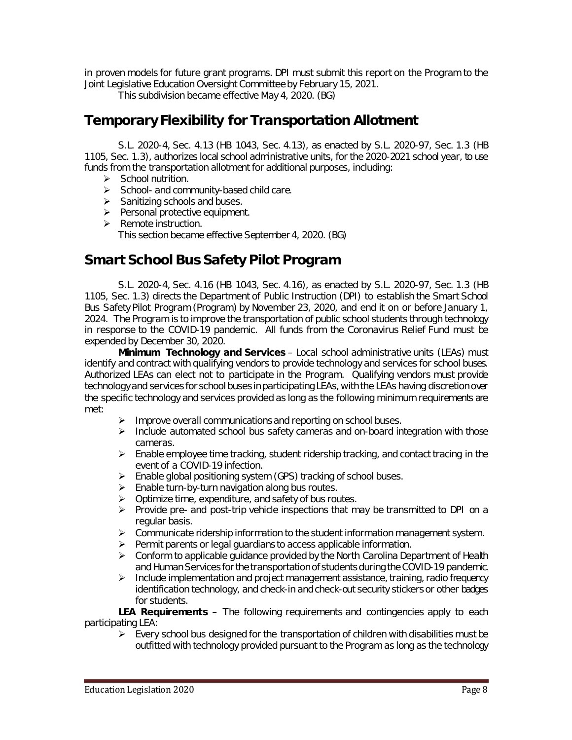in proven models for future grant programs. DPI must submit this report on the Program to the Joint Legislative Education Oversight Committee by February 15, 2021.

This subdivision became effective May 4, 2020. (BG)

# **Temporary Flexibility for Transportation Allotment**

S.L. 2020-4, Sec. 4.13 (HB 1043, Sec. 4.13), as enacted by S.L. 2020-97, Sec. 1.3 (HB 1105, Sec. 1.3), authorizes local school administrative units, for the 2020-2021 school year, to use funds from the transportation allotment for additional purposes, including:

- $\triangleright$  School nutrition.
- $\triangleright$  School- and community-based child care.
- $\triangleright$  Sanitizing schools and buses.
- $\triangleright$  Personal protective equipment.
- $\triangleright$  Remote instruction. This section became effective September 4, 2020. (BG)

### **Smart School Bus Safety Pilot Program**

S.L. 2020-4, Sec. 4.16 (HB 1043, Sec. 4.16), as enacted by S.L. 2020-97, Sec. 1.3 (HB 1105, Sec. 1.3) directs the Department of Public Instruction (DPI) to establish the Smart School Bus Safety Pilot Program (Program) by November 23, 2020, and end it on or before January 1, 2024. The Program is to improve the transportation of public school students through technology in response to the COVID-19 pandemic. All funds from the Coronavirus Relief Fund must be expended by December 30, 2020.

**Minimum Technology and Services** – Local school administrative units (LEAs) must identify and contract with qualifying vendors to provide technology and services for school buses. Authorized LEAs can elect not to participate in the Program. Qualifying vendors must provide technology and services for school buses in participating LEAs, with the LEAs having discretion over the specific technology and services provided as long as the following minimum requirements are met:

- $\triangleright$  Improve overall communications and reporting on school buses.
- $\triangleright$  Include automated school bus safety cameras and on-board integration with those cameras.
- $\triangleright$  Enable employee time tracking, student ridership tracking, and contact tracing in the event of a COVID-19 infection.
- $\triangleright$  Enable global positioning system (GPS) tracking of school buses.
- $\triangleright$  Enable turn-by-turn navigation along bus routes.
- $\triangleright$  Optimize time, expenditure, and safety of bus routes.
- $\triangleright$  Provide pre- and post-trip vehicle inspections that may be transmitted to DPI on a regular basis.
- $\triangleright$  Communicate ridership information to the student information management system.
- $\triangleright$  Permit parents or legal guardians to access applicable information.
- $\triangleright$  Conform to applicable guidance provided by the North Carolina Department of Health and Human Services for the transportation of students during the COVID-19 pandemic.
- $\triangleright$  Include implementation and project management assistance, training, radio frequency identification technology, and check-in and check-out security stickers or other badges for students.

**LEA Requirements** – The following requirements and contingencies apply to each participating LEA:

 $\triangleright$  Every school bus designed for the transportation of children with disabilities must be outfitted with technology provided pursuant to the Program as long as the technology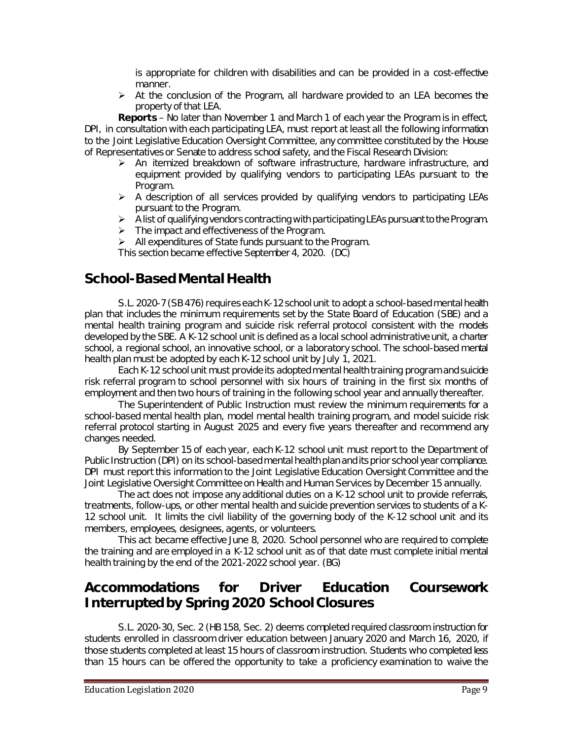is appropriate for children with disabilities and can be provided in a cost-effective manner.

 $\triangleright$  At the conclusion of the Program, all hardware provided to an LEA becomes the property of that LEA.

**Reports** – No later than November 1 and March 1 of each year the Program is in effect, DPI, in consultation with each participating LEA, must report at least all the following information to the Joint Legislative Education Oversight Committee, any committee constituted by the House of Representatives or Senate to address school safety, and the Fiscal Research Division:

- $\triangleright$  An itemized breakdown of software infrastructure, hardware infrastructure, and equipment provided by qualifying vendors to participating LEAs pursuant to the Program.
- $\triangleright$  A description of all services provided by qualifying vendors to participating LEAs pursuant to the Program.
- $\triangleright$  A list of qualifying vendors contracting with participating LEAs pursuant to the Program.
- $\triangleright$  The impact and effectiveness of the Program.
- $\triangleright$  All expenditures of State funds pursuant to the Program.

This section became effective September 4, 2020. (DC)

#### **School-Based Mental Health**

S.L. 2020-7 (SB 476) requires each K-12 school unit to adopt a school-based mental health plan that includes the minimum requirements set by the State Board of Education (SBE) and a mental health training program and suicide risk referral protocol consistent with the models developed by the SBE. A K-12 school unit is defined as a local school administrative unit, a charter school, a regional school, an innovative school, or a laboratory school. The school-based mental health plan must be adopted by each K-12 school unit by July 1, 2021.

Each K-12 school unit must provide its adopted mental health training program and suicide risk referral program to school personnel with six hours of training in the first six months of employment and then two hours of training in the following school year and annually thereafter.

The Superintendent of Public Instruction must review the minimum requirements for a school-based mental health plan, model mental health training program, and model suicide risk referral protocol starting in August 2025 and every five years thereafter and recommend any changes needed.

By September 15 of each year, each K-12 school unit must report to the Department of Public Instruction (DPI) on its school-based mental health plan and its prior school year compliance. DPI must report this information to the Joint Legislative Education Oversight Committee and the Joint Legislative Oversight Committee on Health and Human Services by December 15 annually.

The act does not impose any additional duties on a K-12 school unit to provide referrals, treatments, follow-ups, or other mental health and suicide prevention services to students of a K-12 school unit. It limits the civil liability of the governing body of the K-12 school unit and its members, employees, designees, agents, or volunteers.

This act became effective June 8, 2020. School personnel who are required to complete the training and are employed in a K-12 school unit as of that date must complete initial mental health training by the end of the 2021-2022 school year. (BG)

### **Accommodations for Driver Education Coursework Interrupted by Spring 2020 School Closures**

S.L. 2020-30, Sec. 2 (HB 158, Sec. 2) deems completed required classroom instruction for students enrolled in classroom driver education between January 2020 and March 16, 2020, if those students completed at least 15 hours of classroom instruction. Students who completed less than 15 hours can be offered the opportunity to take a proficiency examination to waive the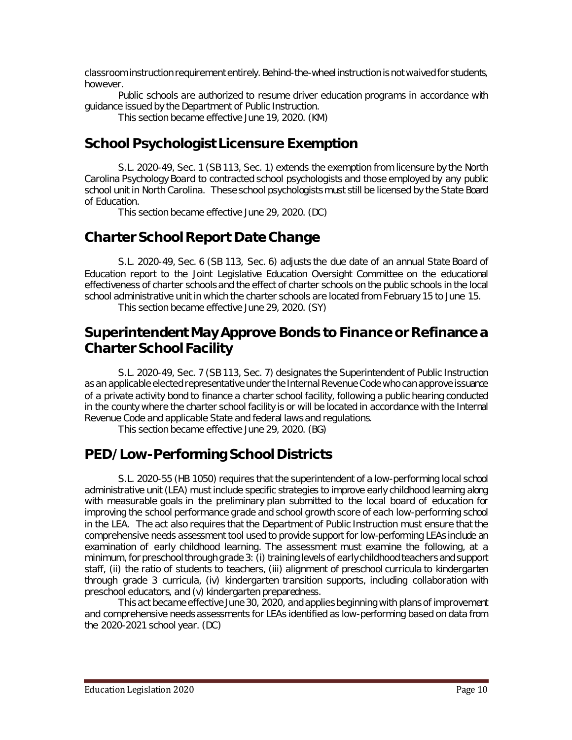classroom instruction requirement entirely. Behind-the-wheel instruction is not waived for students, however.

Public schools are authorized to resume driver education programs in accordance with guidance issued by the Department of Public Instruction.

This section became effective June 19, 2020. (KM)

# **School Psychologist Licensure Exemption**

S.L. 2020-49, Sec. 1 (SB 113, Sec. 1) extends the exemption from licensure by the North Carolina Psychology Board to contracted school psychologists and those employed by any public school unit in North Carolina. These school psychologists must still be licensed by the State Board of Education.

This section became effective June 29, 2020. (DC)

# **Charter School Report Date Change**

S.L. 2020-49, Sec. 6 (SB 113, Sec. 6) adjusts the due date of an annual State Board of Education report to the Joint Legislative Education Oversight Committee on the educational effectiveness of charter schools and the effect of charter schools on the public schools in the local school administrative unit in which the charter schools are located from February 15 to June 15. This section became effective June 29, 2020. (SY)

#### **Superintendent May Approve Bonds to Finance or Refinance a Charter School Facility**

S.L. 2020-49, Sec. 7 (SB 113, Sec. 7) designates the Superintendent of Public Instruction as an applicable elected representative under the Internal Revenue Code who can approve issuance of a private activity bond to finance a charter school facility, following a public hearing conducted in the county where the charter school facility is or will be located in accordance with the Internal Revenue Code and applicable State and federal laws and regulations.

This section became effective June 29, 2020. (BG)

# **PED/Low-Performing School Districts**

S.L. 2020-55 (HB 1050) requires that the superintendent of a low-performing local school administrative unit (LEA) must include specific strategies to improve early childhood learning along with measurable goals in the preliminary plan submitted to the local board of education for improving the school performance grade and school growth score of each low-performing school in the LEA. The act also requires that the Department of Public Instruction must ensure that the comprehensive needs assessment tool used to provide support for low-performing LEAs include an examination of early childhood learning. The assessment must examine the following, at a minimum, for preschool through grade 3: (i) training levels of early childhood teachers and support staff, (ii) the ratio of students to teachers, (iii) alignment of preschool curricula to kindergarten through grade 3 curricula, (iv) kindergarten transition supports, including collaboration with preschool educators, and (v) kindergarten preparedness.

This act became effective June 30, 2020, and applies beginning with plans of improvement and comprehensive needs assessments for LEAs identified as low-performing based on data from the 2020-2021 school year. (DC)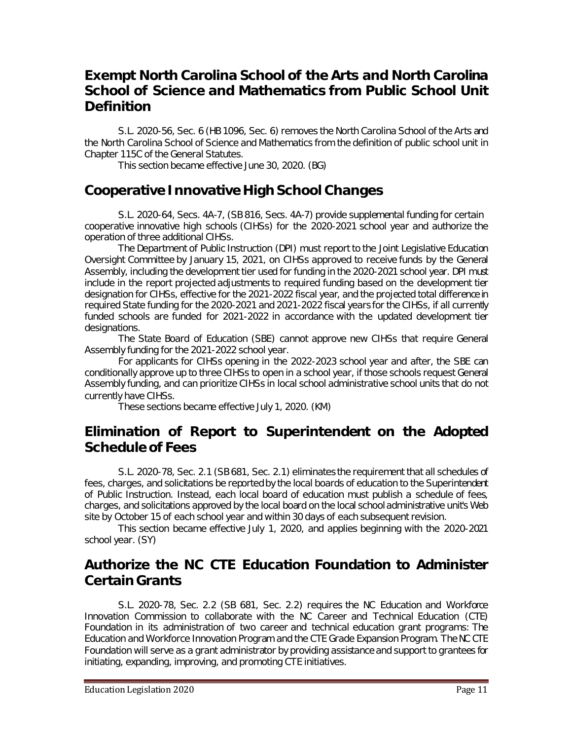### **Exempt North Carolina School of the Arts and North Carolina School of Science and Mathematics from Public School Unit Definition**

S.L. 2020-56, Sec. 6 (HB 1096, Sec. 6) removes the North Carolina School of the Arts and the North Carolina School of Science and Mathematics from the definition of public school unit in Chapter 115C of the General Statutes.

This section became effective June 30, 2020. (BG)

### **Cooperative Innovative High School Changes**

S.L. 2020-64, Secs. 4A-7, (SB 816, Secs. 4A-7) provide supplemental funding for certain cooperative innovative high schools (CIHSs) for the 2020-2021 school year and authorize the operation of three additional CIHSs.

The Department of Public Instruction (DPI) must report to the Joint Legislative Education Oversight Committee by January 15, 2021, on CIHSs approved to receive funds by the General Assembly, including the development tier used for funding in the 2020-2021 school year. DPI must include in the report projected adjustments to required funding based on the development tier designation for CIHSs, effective for the 2021-2022 fiscal year, and the projected total difference in required State funding for the 2020-2021 and 2021-2022 fiscal years for the CIHSs, if all currently funded schools are funded for 2021-2022 in accordance with the updated development tier designations.

The State Board of Education (SBE) cannot approve new CIHSs that require General Assembly funding for the 2021-2022 school year.

For applicants for CIHSs opening in the 2022-2023 school year and after, the SBE can conditionally approve up to three CIHSs to open in a school year, if those schools request General Assembly funding, and can prioritize CIHSs in local school administrative school units that do not currently have CIHSs.

These sections became effective July 1, 2020. (KM)

#### **Elimination of Report to Superintendent on the Adopted Schedule of Fees**

S.L. 2020-78, Sec. 2.1 (SB 681, Sec. 2.1) eliminates the requirement that all schedules of fees, charges, and solicitations be reported by the local boards of education to the Superintendent of Public Instruction. Instead, each local board of education must publish a schedule of fees, charges, and solicitations approved by the local board on the local school administrative unit's Web site by October 15 of each school year and within 30 days of each subsequent revision.

This section became effective July 1, 2020, and applies beginning with the 2020-2021 school year. (SY)

### **Authorize the NC CTE Education Foundation to Administer Certain Grants**

S.L. 2020-78, Sec. 2.2 (SB 681, Sec. 2.2) requires the NC Education and Workforce Innovation Commission to collaborate with the NC Career and Technical Education (CTE) Foundation in its administration of two career and technical education grant programs: The Education and Workforce Innovation Program and the CTE Grade Expansion Program. The NC CTE Foundation will serve as a grant administrator by providing assistance and support to grantees for initiating, expanding, improving, and promoting CTE initiatives.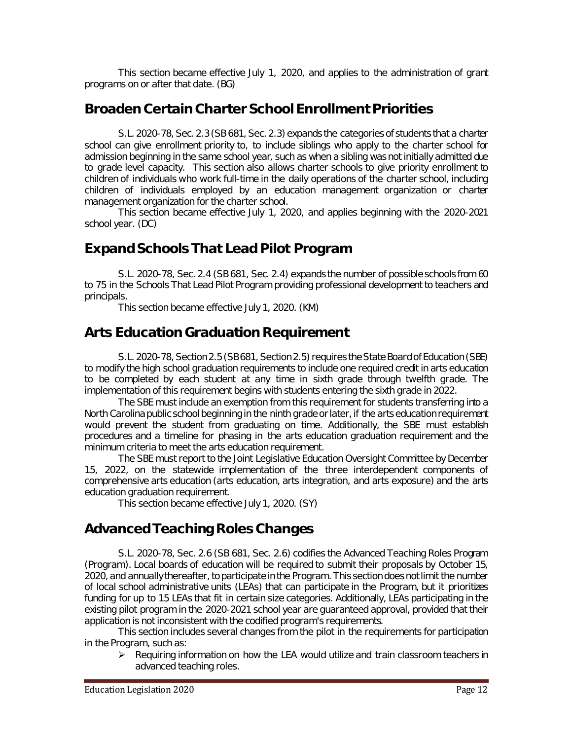This section became effective July 1, 2020, and applies to the administration of grant programs on or after that date. (BG)

# **Broaden Certain Charter School Enrollment Priorities**

S.L. 2020-78, Sec. 2.3 (SB 681, Sec. 2.3) expands the categories of students that a charter school can give enrollment priority to, to include siblings who apply to the charter school for admission beginning in the same school year, such as when a sibling was not initially admitted due to grade level capacity. This section also allows charter schools to give priority enrollment to children of individuals who work full-time in the daily operations of the charter school, including children of individuals employed by an education management organization or charter management organization for the charter school.

This section became effective July 1, 2020, and applies beginning with the 2020-2021 school year. (DC)

# **Expand Schools That Lead Pilot Program**

S.L. 2020-78, Sec. 2.4 (SB 681, Sec. 2.4) expands the number of possible schools from 60 to 75 in the Schools That Lead Pilot Program providing professional development to teachers and principals.

This section became effective July 1, 2020. (KM)

### **Arts Education Graduation Requirement**

S.L. 2020-78, Section 2.5 (SB 681, Section 2.5) requires the State Board of Education (SBE) to modify the high school graduation requirements to include one required credit in arts education to be completed by each student at any time in sixth grade through twelfth grade. The implementation of this requirement begins with students entering the sixth grade in 2022.

The SBE must include an exemption from this requirement for students transferring into a North Carolina public school beginning in the ninth grade or later, if the arts education requirement would prevent the student from graduating on time. Additionally, the SBE must establish procedures and a timeline for phasing in the arts education graduation requirement and the minimum criteria to meet the arts education requirement.

The SBE must report to the Joint Legislative Education Oversight Committee by December 15, 2022, on the statewide implementation of the three interdependent components of comprehensive arts education (arts education, arts integration, and arts exposure) and the arts education graduation requirement.

This section became effective July 1, 2020. (SY)

# **Advanced Teaching Roles Changes**

S.L. 2020-78, Sec. 2.6 (SB 681, Sec. 2.6) codifies the Advanced Teaching Roles Program (Program). Local boards of education will be required to submit their proposals by October 15, 2020, and annually thereafter, to participate in the Program. This section does not limit the number of local school administrative units (LEAs) that can participate in the Program, but it prioritizes funding for up to 15 LEAs that fit in certain size categories. Additionally, LEAs participating in the existing pilot program in the 2020-2021 school year are guaranteed approval, provided that their application is not inconsistent with the codified program's requirements.

This section includes several changes from the pilot in the requirements for participation in the Program, such as:

 $\triangleright$  Requiring information on how the LEA would utilize and train classroom teachers in advanced teaching roles.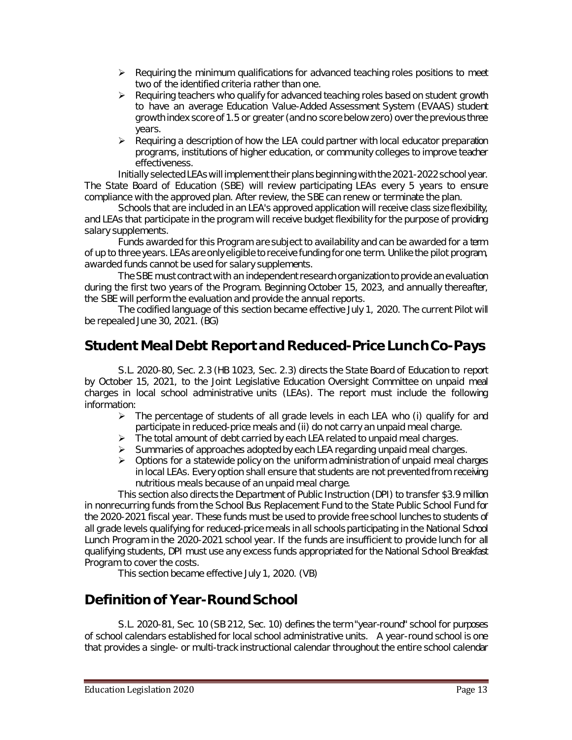- $\triangleright$  Requiring the minimum qualifications for advanced teaching roles positions to meet two of the identified criteria rather than one.
- $\triangleright$  Requiring teachers who qualify for advanced teaching roles based on student growth to have an average Education Value-Added Assessment System (EVAAS) student growth index score of 1.5 or greater (and no score below zero) over the previous three years.
- $\triangleright$  Requiring a description of how the LEA could partner with local educator preparation programs, institutions of higher education, or community colleges to improve teacher effectiveness.

Initially selected LEAs will implement their plans beginning with the 2021-2022 school year. The State Board of Education (SBE) will review participating LEAs every 5 years to ensure compliance with the approved plan. After review, the SBE can renew or terminate the plan.

Schools that are included in an LEA's approved application will receive class size flexibility, and LEAs that participate in the program will receive budget flexibility for the purpose of providing salary supplements.

Funds awarded for this Program are subject to availability and can be awarded for a term of up to three years. LEAs are only eligible to receive funding for one term. Unlike the pilot program, awarded funds cannot be used for salary supplements.

The SBE must contract with an independent research organization to provide an evaluation during the first two years of the Program. Beginning October 15, 2023, and annually thereafter, the SBE will perform the evaluation and provide the annual reports.

The codified language of this section became effective July 1, 2020. The current Pilot will be repealed June 30, 2021. (BG)

# **Student Meal Debt Report and Reduced-Price Lunch Co-Pays**

S.L. 2020-80, Sec. 2.3 (HB 1023, Sec. 2.3) directs the State Board of Education to report by October 15, 2021, to the Joint Legislative Education Oversight Committee on unpaid meal charges in local school administrative units (LEAs). The report must include the following information:

- $\triangleright$  The percentage of students of all grade levels in each LEA who (i) qualify for and participate in reduced-price meals and (ii) do not carry an unpaid meal charge.
- $\triangleright$  The total amount of debt carried by each LEA related to unpaid meal charges.
- $\triangleright$  Summaries of approaches adopted by each LEA regarding unpaid meal charges.
- $\triangleright$  Options for a statewide policy on the uniform administration of unpaid meal charges in local LEAs. Every option shall ensure that students are not prevented from receiving nutritious meals because of an unpaid meal charge.

This section also directs the Department of Public Instruction (DPI) to transfer \$3.9 million in nonrecurring funds from the School Bus Replacement Fund to the State Public School Fund for the 2020-2021 fiscal year. These funds must be used to provide free school lunches to students of all grade levels qualifying for reduced-price meals in all schools participating in the National School Lunch Program in the 2020-2021 school year. If the funds are insufficient to provide lunch for all qualifying students, DPI must use any excess funds appropriated for the National School Breakfast Program to cover the costs.

This section became effective July 1, 2020. (VB)

# **Definition of Year-Round School**

S.L. 2020-81, Sec. 10 (SB 212, Sec. 10) defines the term "year-round" school for purposes of school calendars established for local school administrative units. A year-round school is one that provides a single- or multi-track instructional calendar throughout the entire school calendar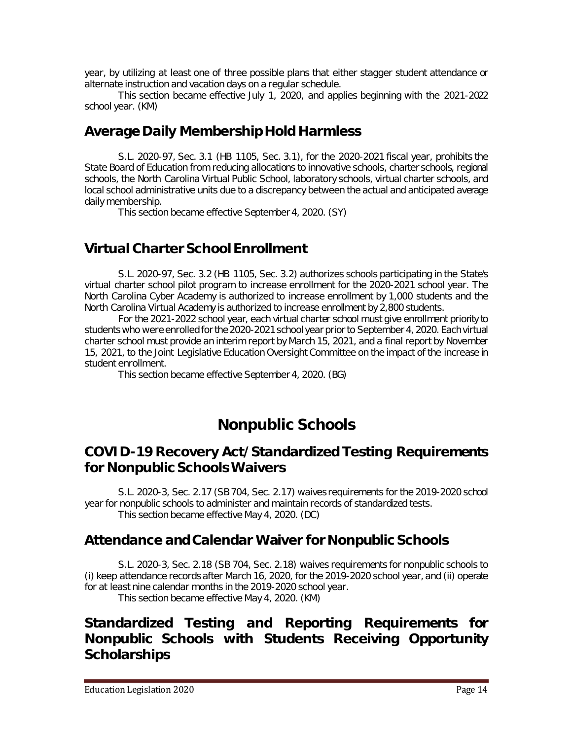year, by utilizing at least one of three possible plans that either stagger student attendance or alternate instruction and vacation days on a regular schedule.

This section became effective July 1, 2020, and applies beginning with the 2021-2022 school year. (KM)

#### **Average Daily Membership Hold Harmless**

S.L. 2020-97, Sec. 3.1 (HB 1105, Sec. 3.1), for the 2020-2021 fiscal year, prohibits the State Board of Education from reducing allocations to innovative schools, charter schools, regional schools, the North Carolina Virtual Public School, laboratory schools, virtual charter schools, and local school administrative units due to a discrepancy between the actual and anticipated average daily membership.

This section became effective September 4, 2020. (SY)

### **Virtual Charter School Enrollment**

S.L. 2020-97, Sec. 3.2 (HB 1105, Sec. 3.2) authorizes schools participating in the State's virtual charter school pilot program to increase enrollment for the 2020-2021 school year. The North Carolina Cyber Academy is authorized to increase enrollment by 1,000 students and the North Carolina Virtual Academy is authorized to increase enrollment by 2,800 students.

For the 2021-2022 school year, each virtual charter school must give enrollment priority to students who were enrolled for the 2020-2021 school year prior to September 4, 2020. Each virtual charter school must provide an interim report by March 15, 2021, and a final report by November 15, 2021, to the Joint Legislative Education Oversight Committee on the impact of the increase in student enrollment.

This section became effective September 4, 2020. (BG)

# **Nonpublic Schools**

#### **COVID-19 Recovery Act/Standardized Testing Requirements for Nonpublic Schools Waivers**

S.L. 2020-3, Sec. 2.17 (SB 704, Sec. 2.17) waives requirements for the 2019-2020 school year for nonpublic schools to administer and maintain records of standardized tests. This section became effective May 4, 2020. (DC)

#### **Attendance and Calendar Waiver for Nonpublic Schools**

S.L. 2020-3, Sec. 2.18 (SB 704, Sec. 2.18) waives requirements for nonpublic schools to (i) keep attendance records after March 16, 2020, for the 2019-2020 school year, and (ii) operate for at least nine calendar months in the 2019-2020 school year. This section became effective May 4, 2020. (KM)

### **Standardized Testing and Reporting Requirements for Nonpublic Schools with Students Receiving Opportunity Scholarships**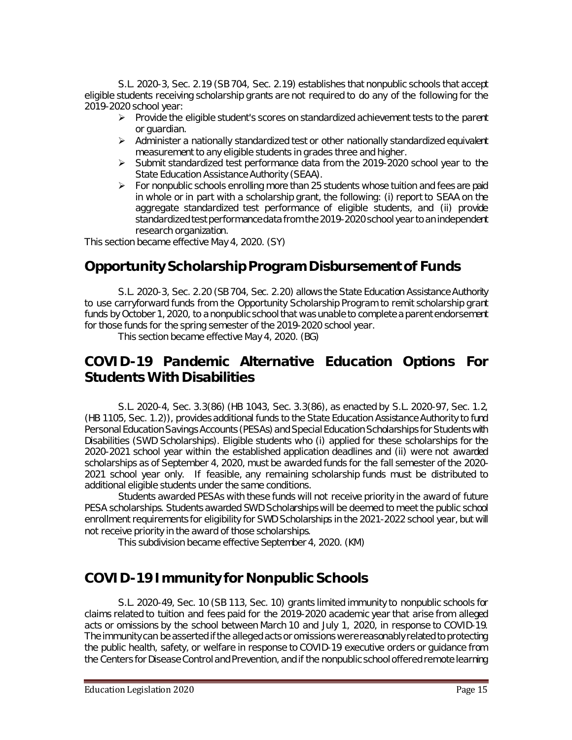S.L. 2020-3, Sec. 2.19 (SB 704, Sec. 2.19) establishes that nonpublic schools that accept eligible students receiving scholarship grants are not required to do any of the following for the 2019-2020 school year:

- $\triangleright$  Provide the eligible student's scores on standardized achievement tests to the parent or guardian.
- $\triangleright$  Administer a nationally standardized test or other nationally standardized equivalent measurement to any eligible students in grades three and higher.
- $\triangleright$  Submit standardized test performance data from the 2019-2020 school year to the State Education Assistance Authority (SEAA).
- $\triangleright$  For nonpublic schools enrolling more than 25 students whose tuition and fees are paid in whole or in part with a scholarship grant, the following: (i) report to SEAA on the aggregate standardized test performance of eligible students, and (ii) provide standardized test performance data from the 2019-2020 school year to an independent research organization.

This section became effective May 4, 2020. (SY)

### **Opportunity Scholarship Program Disbursement of Funds**

S.L. 2020-3, Sec. 2.20 (SB 704, Sec. 2.20) allows the State Education Assistance Authority to use carryforward funds from the Opportunity Scholarship Program to remit scholarship grant funds by October 1, 2020, to a nonpublic school that was unable to complete a parent endorsement for those funds for the spring semester of the 2019-2020 school year.

This section became effective May 4, 2020. (BG)

#### **COVID-19 Pandemic Alternative Education Options For Students With Disabilities**

S.L. 2020-4, Sec. 3.3(86) (HB 1043, Sec. 3.3(86), as enacted by S.L. 2020-97, Sec. 1.2, (HB 1105, Sec. 1.2)), provides additional funds to the State Education Assistance Authority to fund Personal Education Savings Accounts (PESAs) and Special Education Scholarships for Students with Disabilities (SWD Scholarships). Eligible students who (i) applied for these scholarships for the 2020-2021 school year within the established application deadlines and (ii) were not awarded scholarships as of September 4, 2020, must be awarded funds for the fall semester of the 2020- 2021 school year only. If feasible, any remaining scholarship funds must be distributed to additional eligible students under the same conditions.

Students awarded PESAs with these funds will not receive priority in the award of future PESA scholarships. Students awarded SWD Scholarships will be deemed to meet the public school enrollment requirements for eligibility for SWD Scholarships in the 2021-2022 school year, but will not receive priority in the award of those scholarships.

This subdivision became effective September 4, 2020. (KM)

#### **COVID-19 Immunity for Nonpublic Schools**

S.L. 2020-49, Sec. 10 (SB 113, Sec. 10) grants limited immunity to nonpublic schools for claims related to tuition and fees paid for the 2019-2020 academic year that arise from alleged acts or omissions by the school between March 10 and July 1, 2020, in response to COVID-19. The immunity can be asserted if the alleged acts or omissions were reasonably related to protecting the public health, safety, or welfare in response to COVID-19 executive orders or guidance from the Centers for Disease Control and Prevention, and if the nonpublic school offered remote learning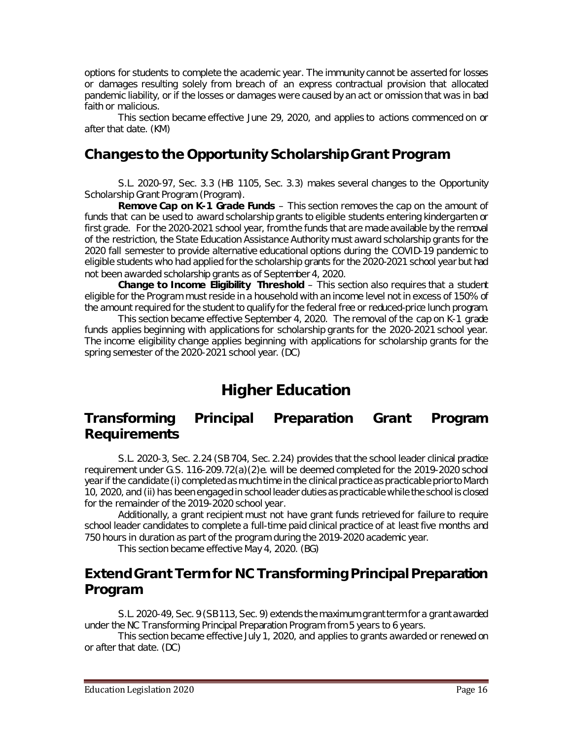options for students to complete the academic year. The immunity cannot be asserted for losses or damages resulting solely from breach of an express contractual provision that allocated pandemic liability, or if the losses or damages were caused by an act or omission that was in bad faith or malicious.

This section became effective June 29, 2020, and applies to actions commenced on or after that date. (KM)

### **Changes to the Opportunity Scholarship Grant Program**

S.L. 2020-97, Sec. 3.3 (HB 1105, Sec. 3.3) makes several changes to the Opportunity Scholarship Grant Program (Program).

**Remove Cap on K-1 Grade Funds** – This section removes the cap on the amount of funds that can be used to award scholarship grants to eligible students entering kindergarten or first grade. For the 2020-2021 school year, from the funds that are made available by the removal of the restriction, the State Education Assistance Authority must award scholarship grants for the 2020 fall semester to provide alternative educational options during the COVID-19 pandemic to eligible students who had applied for the scholarship grants for the 2020-2021 school year but had not been awarded scholarship grants as of September 4, 2020.

**Change to Income Eligibility Threshold** – This section also requires that a student eligible for the Program must reside in a household with an income level not in excess of 150% of the amount required for the student to qualify for the federal free or reduced-price lunch program.

This section became effective September 4, 2020. The removal of the cap on K-1 grade funds applies beginning with applications for scholarship grants for the 2020-2021 school year. The income eligibility change applies beginning with applications for scholarship grants for the spring semester of the 2020-2021 school year. (DC)

# **Higher Education**

#### **Transforming Principal Preparation Grant Program Requirements**

S.L. 2020-3, Sec. 2.24 (SB 704, Sec. 2.24) provides that the school leader clinical practice requirement under G.S. 116-209.72(a)(2)e. will be deemed completed for the 2019-2020 school year if the candidate (i) completed as much time in the clinical practice as practicable prior to March 10, 2020, and (ii) has been engaged in school leader duties as practicable while the school is closed for the remainder of the 2019-2020 school year.

Additionally, a grant recipient must not have grant funds retrieved for failure to require school leader candidates to complete a full-time paid clinical practice of at least five months and 750 hours in duration as part of the program during the 2019-2020 academic year.

This section became effective May 4, 2020. (BG)

# **Extend Grant Term for NC Transforming Principal Preparation Program**

S.L. 2020-49, Sec. 9 (SB 113, Sec. 9) extends the maximum grant term for a grant awarded under the NC Transforming Principal Preparation Program from 5 years to 6 years.

This section became effective July 1, 2020, and applies to grants awarded or renewed on or after that date. (DC)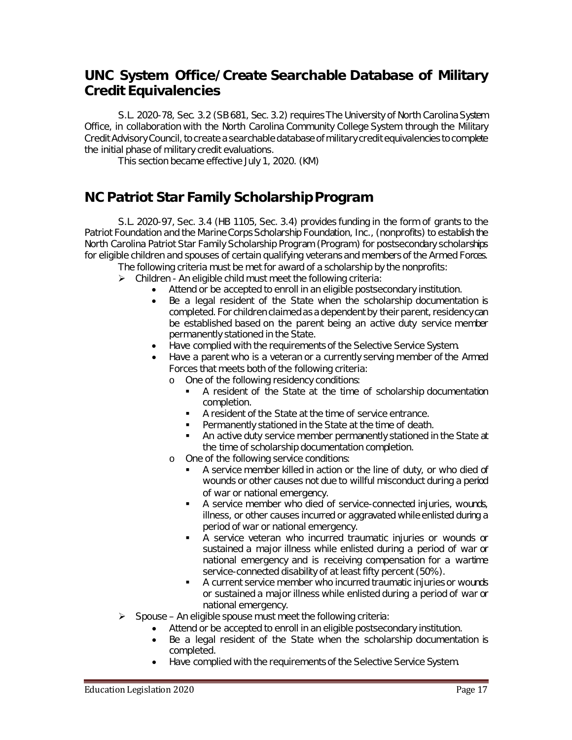### **UNC System Office/Create Searchable Database of Military Credit Equivalencies**

S.L. 2020-78, Sec. 3.2 (SB 681, Sec. 3.2) requires The University of North Carolina System Office, in collaboration with the North Carolina Community College System through the Military Credit Advisory Council, to create a searchable database of military credit equivalencies to complete the initial phase of military credit evaluations.

This section became effective July 1, 2020. (KM)

# **NC Patriot Star Family Scholarship Program**

S.L. 2020-97, Sec. 3.4 (HB 1105, Sec. 3.4) provides funding in the form of grants to the Patriot Foundation and the Marine Corps Scholarship Foundation, Inc., (nonprofits) to establish the North Carolina Patriot Star Family Scholarship Program (Program) for postsecondary scholarships for eligible children and spouses of certain qualifying veterans and members of the Armed Forces.

The following criteria must be met for award of a scholarship by the nonprofits:

- $\triangleright$  Children An eligible child must meet the following criteria:
	- Attend or be accepted to enroll in an eligible postsecondary institution.
	- Be a legal resident of the State when the scholarship documentation is completed. For children claimed as a dependent by their parent, residency can be established based on the parent being an active duty service member permanently stationed in the State.
	- Have complied with the requirements of the Selective Service System.
	- Have a parent who is a veteran or a currently serving member of the Armed Forces that meets both of the following criteria:
		- o One of the following residency conditions:
			- A resident of the State at the time of scholarship documentation completion.
			- A resident of the State at the time of service entrance.
			- **Permanently stationed in the State at the time of death.**<br> **Paractive duty service member permanently stationed in**
			- An active duty service member permanently stationed in the State at the time of scholarship documentation completion.
		- o One of the following service conditions:
			- A service member killed in action or the line of duty, or who died of wounds or other causes not due to willful misconduct during a period of war or national emergency.
			- A service member who died of service-connected injuries, wounds, illness, or other causes incurred or aggravated while enlisted during a period of war or national emergency.
			- A service veteran who incurred traumatic injuries or wounds or sustained a major illness while enlisted during a period of war or national emergency and is receiving compensation for a wartime service-connected disability of at least fifty percent (50%).
			- A current service member who incurred traumatic injuries or wounds or sustained a major illness while enlisted during a period of war or national emergency.
- $\triangleright$  Spouse An eligible spouse must meet the following criteria:
	- Attend or be accepted to enroll in an eligible postsecondary institution.
	- Be a legal resident of the State when the scholarship documentation is completed.
	- Have complied with the requirements of the Selective Service System.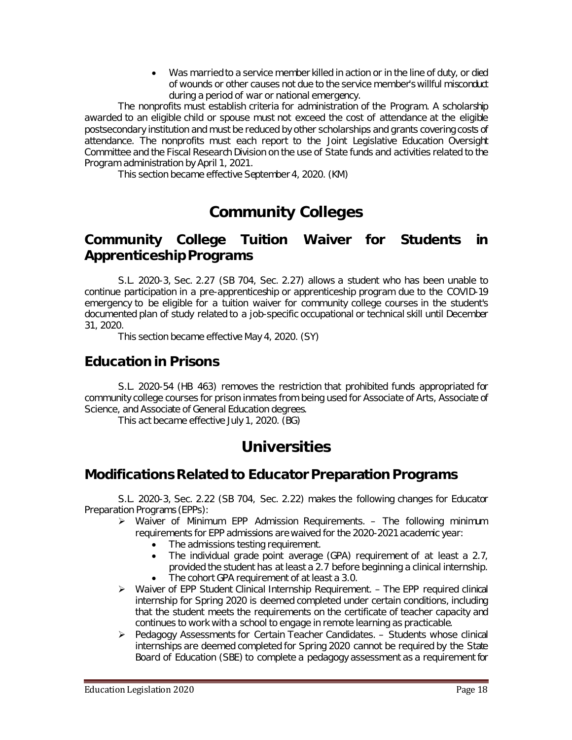• Was married to a service member killed in action or in the line of duty, or died of wounds or other causes not due to the service member's willful misconduct during a period of war or national emergency.

The nonprofits must establish criteria for administration of the Program. A scholarship awarded to an eligible child or spouse must not exceed the cost of attendance at the eligible postsecondary institution and must be reduced by other scholarships and grants covering costs of attendance. The nonprofits must each report to the Joint Legislative Education Oversight Committee and the Fiscal Research Division on the use of State funds and activities related to the Program administration by April 1, 2021.

This section became effective September 4, 2020. (KM)

# **Community Colleges**

### **Community College Tuition Waiver for Students in Apprenticeship Programs**

S.L. 2020-3, Sec. 2.27 (SB 704, Sec. 2.27) allows a student who has been unable to continue participation in a pre-apprenticeship or apprenticeship program due to the COVID-19 emergency to be eligible for a tuition waiver for community college courses in the student's documented plan of study related to a job-specific occupational or technical skill until December 31, 2020.

This section became effective May 4, 2020. (SY)

# **Education in Prisons**

S.L. 2020-54 (HB 463) removes the restriction that prohibited funds appropriated for community college courses for prison inmates from being used for Associate of Arts, Associate of Science, and Associate of General Education degrees.

This act became effective July 1, 2020. (BG)

# **Universities**

# **Modifications Related to Educator Preparation Programs**

S.L. 2020-3, Sec. 2.22 (SB 704, Sec. 2.22) makes the following changes for Educator Preparation Programs (EPPs):

- $\triangleright$  Waiver of Minimum EPP Admission Requirements. The following minimum requirements for EPP admissions are waived for the 2020-2021 academic year:
	- The admissions testing requirement.<br>• The individual grade point average
	- The individual grade point average (GPA) requirement of at least a 2.7, provided the student has at least a 2.7 before beginning a clinical internship.
	- The cohort GPA requirement of at least a 3.0.
- $\triangleright$  Waiver of EPP Student Clinical Internship Requirement. The EPP required clinical internship for Spring 2020 is deemed completed under certain conditions, including that the student meets the requirements on the certificate of teacher capacity and continues to work with a school to engage in remote learning as practicable.
- $\triangleright$  Pedagogy Assessments for Certain Teacher Candidates. Students whose clinical internships are deemed completed for Spring 2020 cannot be required by the State Board of Education (SBE) to complete a pedagogy assessment as a requirement for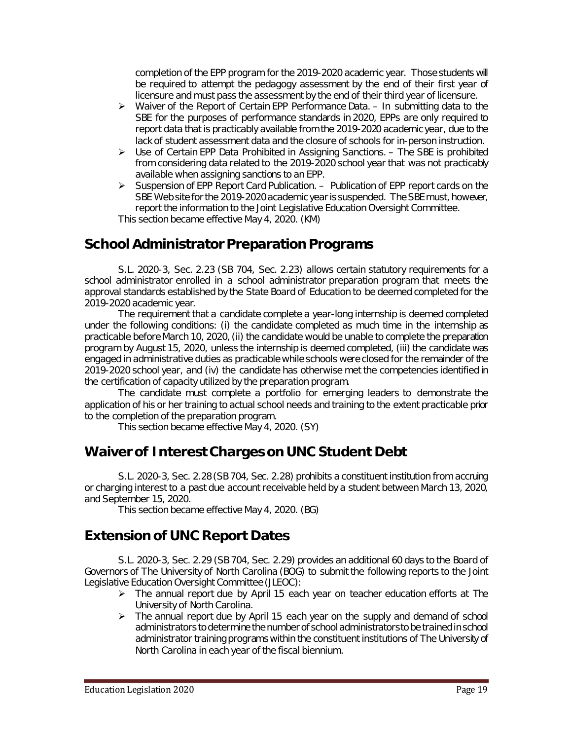completion of the EPP program for the 2019-2020 academic year. Those students will be required to attempt the pedagogy assessment by the end of their first year of licensure and must pass the assessment by the end of their third year of licensure.

- $\triangleright$  Waiver of the Report of Certain EPP Performance Data. In submitting data to the SBE for the purposes of performance standards in 2020, EPPs are only required to report data that is practicably available from the 2019-2020 academic year, due to the lack of student assessment data and the closure of schools for in-person instruction.
- $\triangleright$  Use of Certain EPP Data Prohibited in Assigning Sanctions. The SBE is prohibited from considering data related to the 2019-2020 school year that was not practicably available when assigning sanctions to an EPP.
- $\triangleright$  Suspension of EPP Report Card Publication. Publication of EPP report cards on the SBE Web site for the 2019-2020 academic year is suspended. The SBE must, however, report the information to the Joint Legislative Education Oversight Committee. This section became effective May 4, 2020. (KM)

# **School Administrator Preparation Programs**

S.L. 2020-3, Sec. 2.23 (SB 704, Sec. 2.23) allows certain statutory requirements for a school administrator enrolled in a school administrator preparation program that meets the approval standards established by the State Board of Education to be deemed completed for the 2019-2020 academic year.

The requirement that a candidate complete a year-long internship is deemed completed under the following conditions: (i) the candidate completed as much time in the internship as practicable before March 10, 2020,(ii) the candidate would be unable to complete the preparation program by August 15, 2020, unless the internship is deemed completed, (iii) the candidate was engaged in administrative duties as practicable while schools were closed for the remainder of the 2019-2020 school year, and (iv) the candidate has otherwise met the competencies identified in the certification of capacity utilized by the preparation program.

The candidate must complete a portfolio for emerging leaders to demonstrate the application of his or her training to actual school needs and training to the extent practicable prior to the completion of the preparation program.

This section became effective May 4, 2020. (SY)

# **Waiver of Interest Charges on UNC Student Debt**

S.L. 2020-3, Sec. 2.28 (SB 704, Sec. 2.28) prohibits a constituent institution from accruing or charging interest to a past due account receivable held by a student between March 13, 2020, and September 15, 2020.

This section became effective May 4, 2020. (BG)

# **Extension of UNC Report Dates**

S.L. 2020-3, Sec. 2.29 (SB 704, Sec. 2.29) provides an additional 60 days to the Board of Governors of The University of North Carolina (BOG) to submit the following reports to the Joint Legislative Education Oversight Committee (JLEOC):

- $\triangleright$  The annual report due by April 15 each year on teacher education efforts at The University of North Carolina.
- $\triangleright$  The annual report due by April 15 each year on the supply and demand of school administrators to determine the number of school administrators to be trained in school administrator training programs within the constituent institutions of The University of North Carolina in each year of the fiscal biennium.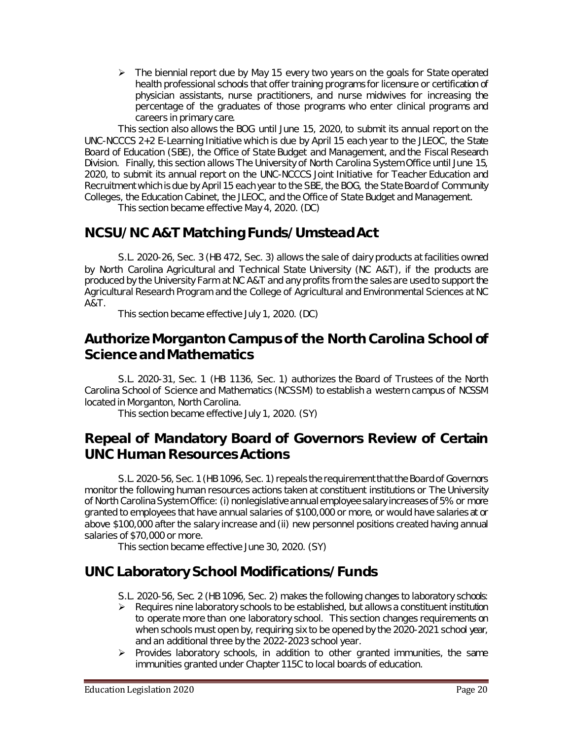$\triangleright$  The biennial report due by May 15 every two years on the goals for State operated health professional schools that offer training programs for licensure or certification of physician assistants, nurse practitioners, and nurse midwives for increasing the percentage of the graduates of those programs who enter clinical programs and careers in primary care.

This section also allows the BOG until June 15, 2020, to submit its annual report on the UNC-NCCCS 2+2 E-Learning Initiative which is due by April 15 each year to the JLEOC, the State Board of Education (SBE), the Office of State Budget and Management, and the Fiscal Research Division. Finally, this section allows The University of North Carolina System Office until June 15, 2020, to submit its annual report on the UNC-NCCCS Joint Initiative for Teacher Education and Recruitment which is due by April 15 each year to the SBE, the BOG, the State Board of Community Colleges, the Education Cabinet, the JLEOC, and the Office of State Budget and Management.

This section became effective May 4, 2020. (DC)

### **NCSU/NC A&T Matching Funds/Umstead Act**

S.L. 2020-26, Sec. 3 (HB 472, Sec. 3) allows the sale of dairy products at facilities owned by North Carolina Agricultural and Technical State University (NC A&T), if the products are produced by the University Farm at NC A&T and any profits from the sales are used to support the Agricultural Research Program and the College of Agricultural and Environmental Sciences at NC A&T.

This section became effective July 1, 2020. (DC)

#### **Authorize Morganton Campus of the North Carolina School of Science and Mathematics**

S.L. 2020-31, Sec. 1 (HB 1136, Sec. 1) authorizes the Board of Trustees of the North Carolina School of Science and Mathematics (NCSSM) to establish a western campus of NCSSM located in Morganton, North Carolina.

This section became effective July 1, 2020. (SY)

### **Repeal of Mandatory Board of Governors Review of Certain UNC Human Resources Actions**

S.L. 2020-56, Sec. 1 (HB 1096, Sec. 1) repeals the requirement that the Board of Governors monitor the following human resources actions taken at constituent institutions or The University of North Carolina System Office: (i) nonlegislative annual employee salary increases of 5% or more granted to employees that have annual salaries of \$100,000 or more, or would have salaries at or above \$100,000 after the salary increase and (ii) new personnel positions created having annual salaries of \$70,000 or more.

This section became effective June 30, 2020. (SY)

# **UNC Laboratory School Modifications/Funds**

- S.L. 2020-56, Sec. 2 (HB 1096, Sec. 2) makes the following changes to laboratory schools:
- $\triangleright$  Requires nine laboratory schools to be established, but allows a constituent institution to operate more than one laboratory school. This section changes requirements on when schools must open by, requiring six to be opened by the 2020-2021 school year, and an additional three by the 2022-2023 school year.
- $\triangleright$  Provides laboratory schools, in addition to other granted immunities, the same immunities granted under Chapter 115C to local boards of education.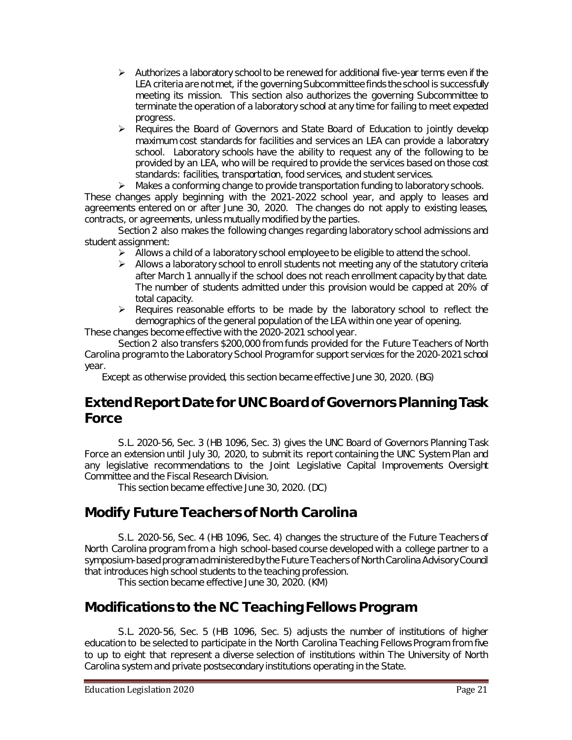- $\triangleright$  Authorizes a laboratory school to be renewed for additional five-year terms even if the LEA criteria are not met, if the governing Subcommittee finds the school is successfully meeting its mission. This section also authorizes the governing Subcommittee to terminate the operation of a laboratory school at any time for failing to meet expected progress.
- Requires the Board of Governors and State Board of Education to jointly develop maximum cost standards for facilities and services an LEA can provide a laboratory school. Laboratory schools have the ability to request any of the following to be provided by an LEA, who will be required to provide the services based on those cost standards: facilities, transportation, food services, and student services.

 $\triangleright$  Makes a conforming change to provide transportation funding to laboratory schools. These changes apply beginning with the 2021-2022 school year, and apply to leases and agreements entered on or after June 30, 2020. The changes do not apply to existing leases, contracts, or agreements, unless mutually modified by the parties.

Section 2 also makes the following changes regarding laboratory school admissions and student assignment:

- $\triangleright$  Allows a child of a laboratory school employee to be eligible to attend the school.
- $\triangleright$  Allows a laboratory school to enroll students not meeting any of the statutory criteria after March 1 annually if the school does not reach enrollment capacity by that date. The number of students admitted under this provision would be capped at 20% of total capacity.
- $\triangleright$  Requires reasonable efforts to be made by the laboratory school to reflect the demographics of the general population of the LEA within one year of opening. These changes become effective with the 2020-2021 school year.

Section 2 also transfers \$200,000 from funds provided for the Future Teachers of North Carolina program to the Laboratory School Program for support services for the 2020-2021 school year.

Except as otherwise provided, this section became effective June 30, 2020. (BG)

### **Extend Report Date for UNC Board of Governors Planning Task Force**

S.L. 2020-56, Sec. 3 (HB 1096, Sec. 3) gives the UNC Board of Governors Planning Task Force an extension until July 30, 2020, to submit its report containing the UNC System Plan and any legislative recommendations to the Joint Legislative Capital Improvements Oversight Committee and the Fiscal Research Division.

This section became effective June 30, 2020. (DC)

# **Modify Future Teachers of North Carolina**

S.L. 2020-56, Sec. 4 (HB 1096, Sec. 4) changes the structure of the Future Teachers of North Carolina program from a high school-based course developed with a college partner to a symposium-based program administered by the Future Teachers of North Carolina Advisory Council that introduces high school students to the teaching profession.

This section became effective June 30, 2020. (KM)

# **Modifications to the NC Teaching Fellows Program**

S.L. 2020-56, Sec. 5 (HB 1096, Sec. 5) adjusts the number of institutions of higher education to be selected to participate in the North Carolina Teaching Fellows Program from five to up to eight that represent a diverse selection of institutions within The University of North Carolina system and private postsecondary institutions operating in the State.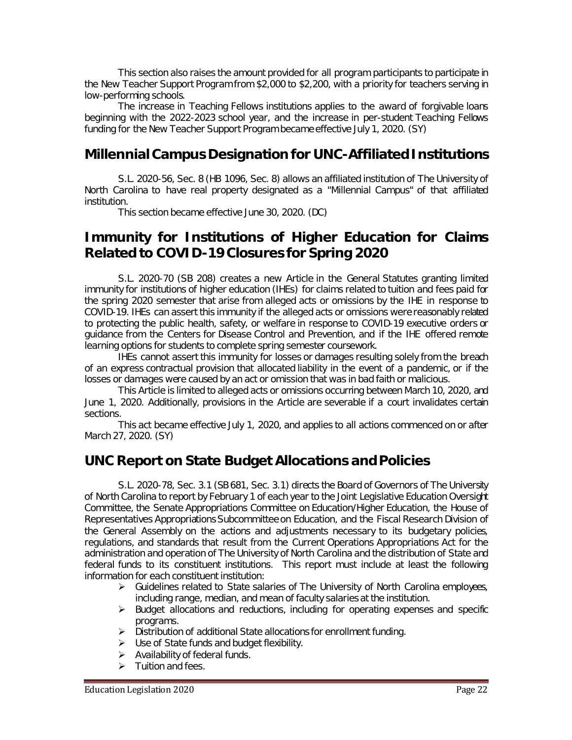This section also raises the amount provided for all program participants to participate in the New Teacher Support Program from \$2,000 to \$2,200, with a priority for teachers serving in low-performing schools.

The increase in Teaching Fellows institutions applies to the award of forgivable loans beginning with the 2022-2023 school year, and the increase in per-student Teaching Fellows funding for the New Teacher Support Program became effective July 1, 2020. (SY)

### **Millennial Campus Designation for UNC-Affiliated Institutions**

S.L. 2020-56, Sec. 8 (HB 1096, Sec. 8) allows an affiliated institution of The University of North Carolina to have real property designated as a "Millennial Campus" of that affiliated institution.

This section became effective June 30, 2020. (DC)

#### **Immunity for Institutions of Higher Education for Claims Related to COVID-19 Closures for Spring 2020**

S.L. 2020-70 (SB 208) creates a new Article in the General Statutes granting limited immunity for institutions of higher education (IHEs) for claims related to tuition and fees paid for the spring 2020 semester that arise from alleged acts or omissions by the IHE in response to COVID-19. IHEs can assert this immunity if the alleged acts or omissions were reasonably related to protecting the public health, safety, or welfare in response to COVID-19 executive orders or guidance from the Centers for Disease Control and Prevention, and if the IHE offered remote learning options for students to complete spring semester coursework.

IHEs cannot assert this immunity for losses or damages resulting solely from the breach of an express contractual provision that allocated liability in the event of a pandemic, or if the losses or damages were caused by an act or omission that was in bad faith or malicious.

This Article is limited to alleged acts or omissions occurring between March 10, 2020, and June 1, 2020. Additionally, provisions in the Article are severable if a court invalidates certain sections.

This act became effective July 1, 2020, and applies to all actions commenced on or after March 27, 2020. (SY)

# **UNC Report on State Budget Allocations and Policies**

S.L. 2020-78, Sec. 3.1 (SB 681, Sec. 3.1) directs the Board of Governors of The University of North Carolina to report by February 1 of each year to the Joint Legislative Education Oversight Committee, the Senate Appropriations Committee on Education/Higher Education, the House of Representatives Appropriations Subcommittee on Education, and the Fiscal Research Division of the General Assembly on the actions and adjustments necessary to its budgetary policies, regulations, and standards that result from the Current Operations Appropriations Act for the administration and operation of The University of North Carolina and the distribution of State and federal funds to its constituent institutions. This report must include at least the following information for each constituent institution:

- $\triangleright$  Guidelines related to State salaries of The University of North Carolina employees, including range, median, and mean of faculty salaries at the institution.
- $\triangleright$  Budget allocations and reductions, including for operating expenses and specific programs.
- > Distribution of additional State allocations for enrollment funding.
- $\triangleright$  Use of State funds and budget flexibility.
- $\triangleright$  Availability of federal funds.
- $\triangleright$  Tuition and fees.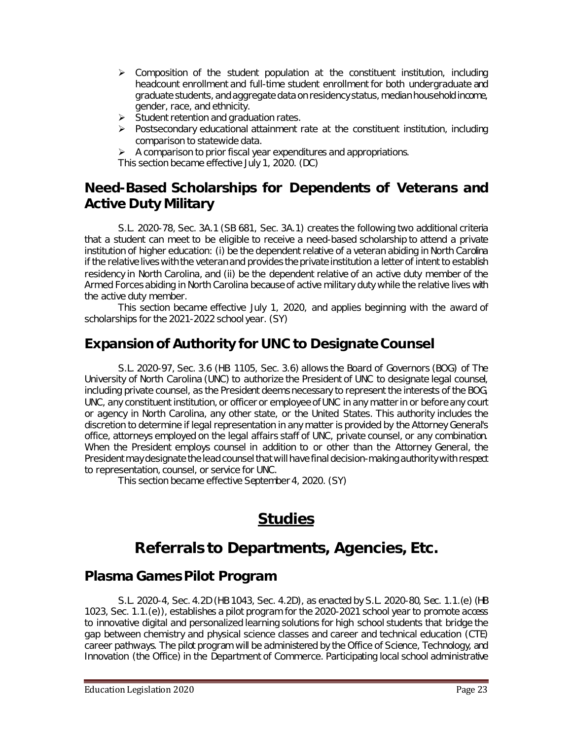- $\triangleright$  Composition of the student population at the constituent institution, including headcount enrollment and full-time student enrollment for both undergraduate and graduate students, and aggregate data on residency status, median household income, gender, race, and ethnicity.
- $\triangleright$  Student retention and graduation rates.
- $\triangleright$  Postsecondary educational attainment rate at the constituent institution, including comparison to statewide data.
- $\triangleright$  A comparison to prior fiscal year expenditures and appropriations.

This section became effective July 1, 2020. (DC)

# **Need-Based Scholarships for Dependents of Veterans and Active Duty Military**

S.L. 2020-78, Sec. 3A.1 (SB 681, Sec. 3A.1) creates the following two additional criteria that a student can meet to be eligible to receive a need-based scholarship to attend a private institution of higher education: (i) be the dependent relative of a veteran abiding in North Carolina if the relative lives with the veteran and provides the private institution a letter of intent to establish residency in North Carolina, and (ii) be the dependent relative of an active duty member of the Armed Forces abiding in North Carolina because of active military duty while the relative lives with the active duty member.

This section became effective July 1, 2020, and applies beginning with the award of scholarships for the 2021-2022 school year. (SY)

# **Expansion of Authority for UNC to Designate Counsel**

S.L. 2020-97, Sec. 3.6 (HB 1105, Sec. 3.6) allows the Board of Governors (BOG) of The University of North Carolina (UNC) to authorize the President of UNC to designate legal counsel, including private counsel, as the President deems necessary to represent the interests of the BOG, UNC, any constituent institution, or officer or employee of UNC in any matter in or before any court or agency in North Carolina, any other state, or the United States. This authority includes the discretion to determine if legal representation in any matter is provided by the Attorney General's office, attorneys employed on the legal affairs staff of UNC, private counsel, or any combination. When the President employs counsel in addition to or other than the Attorney General, the President may designate the lead counsel that will have final decision-making authority with respect to representation, counsel, or service for UNC.

This section became effective September 4, 2020. (SY)

# **Studies**

# **Referrals to Departments, Agencies, Etc.**

#### **Plasma Games Pilot Program**

S.L. 2020-4, Sec. 4.2D (HB 1043, Sec. 4.2D), as enacted by S.L. 2020-80, Sec. 1.1.(e) (HB 1023, Sec. 1.1.(e)), establishes a pilot program for the 2020-2021 school year to promote access to innovative digital and personalized learning solutions for high school students that bridge the gap between chemistry and physical science classes and career and technical education (CTE) career pathways. The pilot program will be administered by the Office of Science, Technology, and Innovation (the Office) in the Department of Commerce. Participating local school administrative